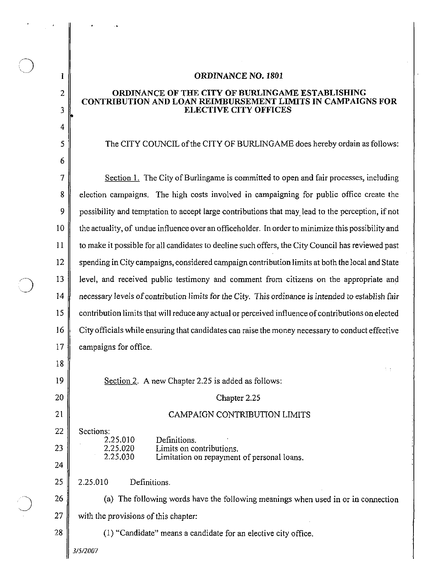## ORDINANCE NO. 1801

## ORDINANCE OF THE CITY OF BURLINGAME ESTABLISHING CONTRIBUTION AND LOAN REIMBURSEMENT LIMITS IN CAMPAIGNS FOR ELECTIVE CITY OFFICES

The CITY COUNCIL of the CITY OF BURLINGAME does hereby ordain as follows:

7 8 9 10 11 12  $\bigcirc$   $\bigcirc$   $\frac{13}{14}$ 14 15 16 17 Section I. The City of Burlingame is committed to open and fair processes, including election campaigns. The high costs involved in campaigning for public office create the possibility and temptation to accept large contributions that may. lead to the perception, if not the actuality, of undue influence over an officeholder. In orderto minimize this possibility and to make it possible for all candidates to decline such offers, the City Council has reviewed past spending in City campaigns, considered campaign contribution limits at both the local and State level, and received public testimony and comment from citizens on the appropriate and necessary levels of contribution limits for the City. This ordinance is intended to establish fair contribution limits that will reduce any actual or perceived influence of contributions on elected City officials while ensuring that candidates can raise the money necessary to conduct effective campaigns for office.

18 19

20

21

22

 $\bigcup$ <sub>I</sub>

2

3

4

5

6

23

24

25

28

2.25.010 Definitions.

2.25.010 2.25.020 2.25.030

26 27 (a) The following words have the following meanings when used in or in connection with the provisions of this chapter:

Limitation on repayment of personal loans.

Chapter 2.25

CAMPAIGN CONTRIBUTION LIMITS

(1) "Candidate" means a candidate for an elective city office.

Section 2. A new Chapter 2.25 is added as follows:

Limits on contributions.

Definitions.

3/5/2007

Sections: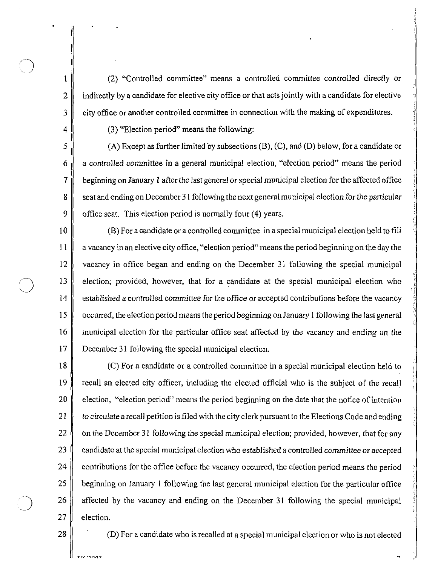(2) "Controlled committee" means a controlled committee controlled directly or indirectly by a candidate for elective city office or that acts jointly with a candidate for elective city office or another controlled committee in connection with the making of expenditures.

(3) "Election period" means the following:

(A) Except as further limited by subsections (B), (C), and (D) below, for a candidate or a controlled committee in a general municipal election, "election period" means the period beginning on January 1 after the last general or special municipal election for the affected office seat and ending on December 31 following the next general municipal election for the particular office seat. This election period is normally four (4) years.

10 11 12  $\bigcirc$  13 14 15 16 17 (B) For a candidate or a controlled committee in a special municipal election held to fill a vacancy in an elective city office, "election period" means the period beginning on the day the vacancy in office began and ending on the December 31 following the special municipal election; provided, however, that for a candidate at the special municipal election who established a controlled committee for the office or accepted contributions before the vacancy occurred, the election period means the period beginning on January 1 following the last general municipal election for the particular office seat affected by the vacancy and ending on the December 31 following the special municipal election.

:, '"

18 19 20 21 22 23 24 25 26 27 (C) For a candidate or a controlled comminee in a special municipal election held to recall an elected city officer, including the elected official who is the subject of the recall election, "election period" means the period beginning on the date that the notice of intention to circulate a recall petition is filed with the city clerk pursuant to the Elections Code and ending on the December 31 following the special municipal election; provided, however, that for any candidate at the special municipal election who established a controlled committee or accepted contributions for tbe office before the vacancy occurred, the election period means the period beginning on January I following the last general municipal election for the particular office affected by the vacancy and ending on the December 31 following the special municipal election.

28

 $\bigcirc$  :

1

2

3

4

5

6

7

8

9

(D) For a candidate who is recalled at a special municipal election or who is not elected

 $71513000$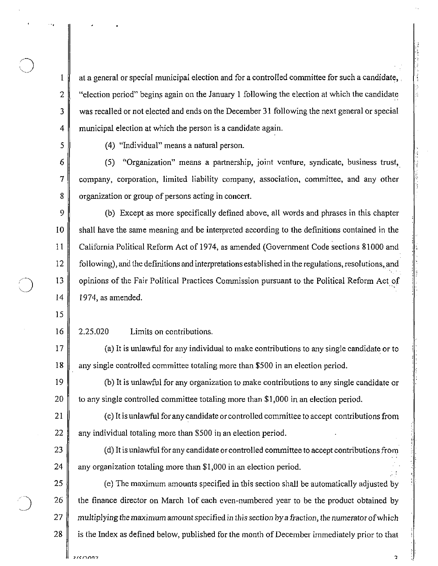at a general or special municipal election and for a controlled committee for such a candidate, ' "election period" begins again on the January 1 following the election at which the candidate was recalled or not elected and ends on the December 31 following the next general or special municipal election at which the person is a candidate again.

5

6

7

I

2

3

4

"

(4) "Individual" means a natural person.

(5) "Organization" means a partnership, joint venture, syndicate, business trust, company, corporation, limited liability company, association, committee, and any other 8 organization or group of persons acting in concert.

9 (b) Except as more specifically defined above, all words and phrases in this chapter 10 shall have the same meaning and be interpreted according to the definitions contained in the 11 California Political Reform Act of 1974, as amended (Government Code sections 81000 and 12 following), and the definitions and interpretations established in the regulations, resolutions, and 13 | opinions of the Fair Political Practices Commission pursuant to the Political Reform Act of 14 | 1974, as amended.

15

16 2.25.020 Limits on contributions.

 $17$  (a) It is unlawful for any individual to make contributions to any single candidate or to 18 any single controlled committee totaling more than \$500 in an election period.

19 (b) It is unlawful for any organization to make contributions to any single candidate or 20  $\parallel$  to any single controlled committee totaling more than \$1,000 in an election period.

21 || (c) It is unlawful for any candidate or controlled committee to accept contributions from 22  $\parallel$  any individual totaling more than \$500 in an election period.

23 (d) It is unlawful for any candidate or controlled committee to accept contributions from 24  $\parallel$  any organization totaling more than \$1,000 in an election period.

 $\parallel$  (e) The maximum amounts specified in this section shall be automatically adjusted by 26 the finance director on March 1 of each even-numbered year to be the product obtained by  $\parallel$  multiplying the maximum amount specified in this section by a fraction, the numerator of which | is the Index as defined below, published for the month of December immediately prior to that

 $\rightarrow$ 

 $\mathbf 2$ 

 $\tilde{\mu}$ ;:.

, '  $\parallel$ i'

d,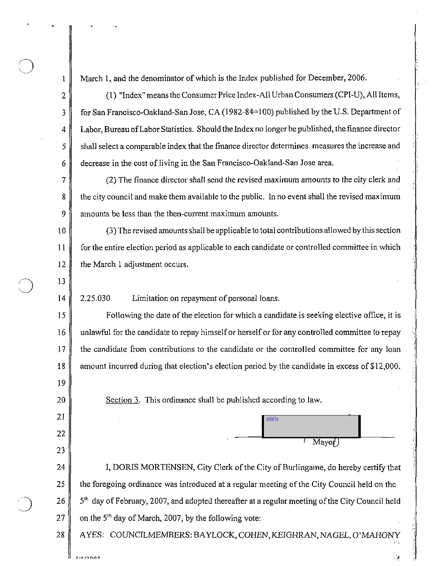1 March 1, and the denominator of which is the Index published for December, 2006.

2 [201] (1) "Index" means the Consumer Price Index-All Urban Consumers (CPI-U), All Items, 3 for San Francisco-Oakland-San Jose, CA (1982-84=100) published by the U.S. Department of 4 Labor, Bureau of Labor Statistics. Should the Index no longer be published, the finance director 5 shall select a comparable index that the finance director determines measures the increase and 6 decrease in the cost of living in the San Francisco-Oakland-San Jose area.

7 (2) The finance director shall send the revised maximum amounts to the city clerk and 8 the city council and make them available to the public. In no event shall the revised maximum  $9 \parallel$  amounts be less than the then-current maximum amounts.

10 (3) The revised amounts shall be applicable to total contributions allowed by this section  $11$  for the entire election period as applicable to each candidate or controlled committee in which 12  $\parallel$  the March 1 adjustment occurs.

14 2.25.030 Limitation on repayment of personal loans.

15 Following the date of the election for which a candidate is seeking elective office, it is 16 unlawful for the candidate to repay himself or herself or for any controlled committee to repay '<; 17 the candidate from contributions to the candidate or the controlled committee for any loan 18 amount incurred during that election's election period by the candidate in excess of \$12,000.

Section 3. This ordinance shall be published according to law.

 $(d)(5)$  $\left(\begin{array}{c}\text{Mayof}\end{array}\right)$ 

24 | I, DORIS MORTENSEN, City Clerk of the City of Burlingame, do hereby certify that 25  $\parallel$  the foregoing ordinance was introduced at a regular meeting of the City Council held on the  $26 \parallel 5<sup>th</sup>$  day of February, 2007, and adopted thereafter at a regular meeting of the City Council held 27  $\parallel$  on the 5<sup>th</sup> day of March, 2007, by the following vote:

28 | AYES: COUNCILMEMBERS: BAYLOCK, COHEN, KEIGHRAN, NAGEL, O'MAHONY

 $15100$ 

13

19

20

21

22

23

 $\mathcal{A}$